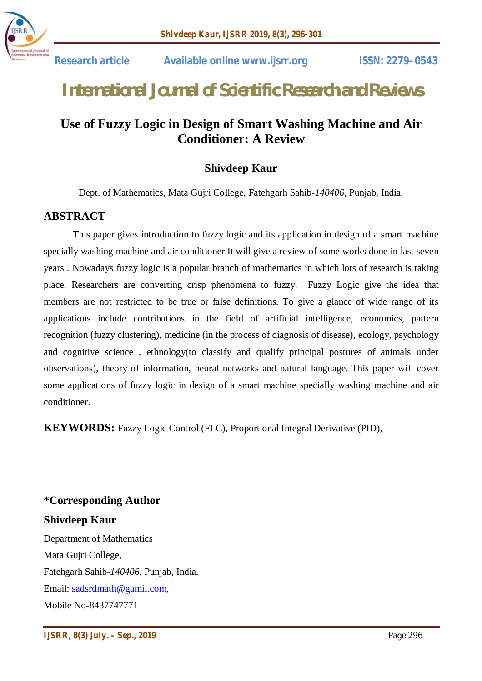

# *International Journal of Scientific Research and Reviews*

## **Use of Fuzzy Logic in Design of Smart Washing Machine and Air Conditioner: A Review**

## **Shivdeep Kaur**

Dept. of Mathematics, Mata Gujri College, Fatehgarh Sahib-*140406*, Punjab, India.

#### **ABSTRACT**

This paper gives introduction to fuzzy logic and its application in design of a smart machine specially washing machine and air conditioner.It will give a review of some works done in last seven years . Nowadays fuzzy logic is a popular branch of mathematics in which lots of research is taking place. Researchers are converting crisp phenomena to fuzzy. Fuzzy Logic give the idea that members are not restricted to be true or false definitions. To give a glance of wide range of its applications include contributions in the field of artificial intelligence, economics, pattern recognition (fuzzy clustering), medicine (in the process of diagnosis of disease), ecology, psychology and cognitive science , ethnology(to classify and qualify principal postures of animals under observations), theory of information, neural networks and natural language. This paper will cover some applications of fuzzy logic in design of a smart machine specially washing machine and air conditioner.

**KEYWORDS:** Fuzzy Logic Control (FLC), Proportional Integral Derivative (PID),

#### **\*Corresponding Author**

#### **Shivdeep Kaur**

Department of Mathematics Mata Gujri College, Fatehgarh Sahib-*140406*, Punjab, India. Email: sadsrdmath@gamil.com, Mobile No-8437747771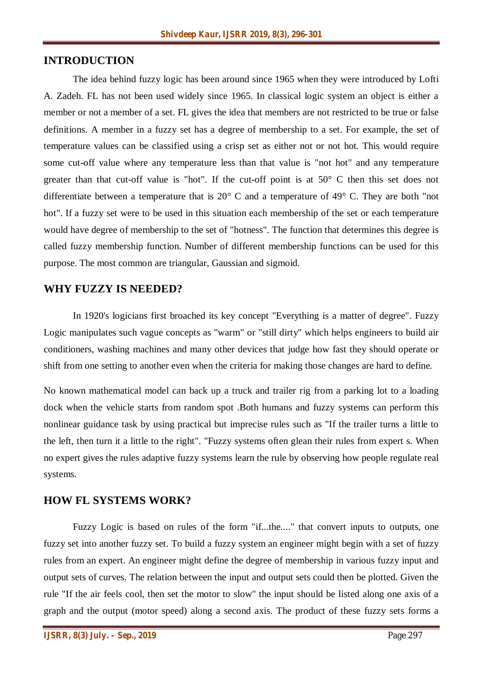#### **INTRODUCTION**

The idea behind fuzzy logic has been around since 1965 when they were introduced by Lofti A. Zadeh. FL has not been used widely since 1965. In classical logic system an object is either a member or not a member of a set. FL gives the idea that members are not restricted to be true or false definitions. A member in a fuzzy set has a degree of membership to a set. For example, the set of temperature values can be classified using a crisp set as either not or not hot. This would require some cut-off value where any temperature less than that value is "not hot" and any temperature greater than that cut-off value is "hot". If the cut-off point is at 50° C then this set does not differentiate between a temperature that is 20° C and a temperature of 49° C. They are both "not hot". If a fuzzy set were to be used in this situation each membership of the set or each temperature would have degree of membership to the set of "hotness". The function that determines this degree is called fuzzy membership function. Number of different membership functions can be used for this purpose. The most common are triangular, Gaussian and sigmoid.

#### **WHY FUZZY IS NEEDED?**

In 1920's logicians first broached its key concept "Everything is a matter of degree". Fuzzy Logic manipulates such vague concepts as "warm" or "still dirty" which helps engineers to build air conditioners, washing machines and many other devices that judge how fast they should operate or shift from one setting to another even when the criteria for making those changes are hard to define.

No known mathematical model can back up a truck and trailer rig from a parking lot to a loading dock when the vehicle starts from random spot .Both humans and fuzzy systems can perform this nonlinear guidance task by using practical but imprecise rules such as "If the trailer turns a little to the left, then turn it a little to the right". "Fuzzy systems often glean their rules from expert s. When no expert gives the rules adaptive fuzzy systems learn the rule by observing how people regulate real systems.

#### **HOW FL SYSTEMS WORK?**

Fuzzy Logic is based on rules of the form "if...the...." that convert inputs to outputs, one fuzzy set into another fuzzy set. To build a fuzzy system an engineer might begin with a set of fuzzy rules from an expert. An engineer might define the degree of membership in various fuzzy input and output sets of curves. The relation between the input and output sets could then be plotted. Given the rule "If the air feels cool, then set the motor to slow" the input should be listed along one axis of a graph and the output (motor speed) along a second axis. The product of these fuzzy sets forms a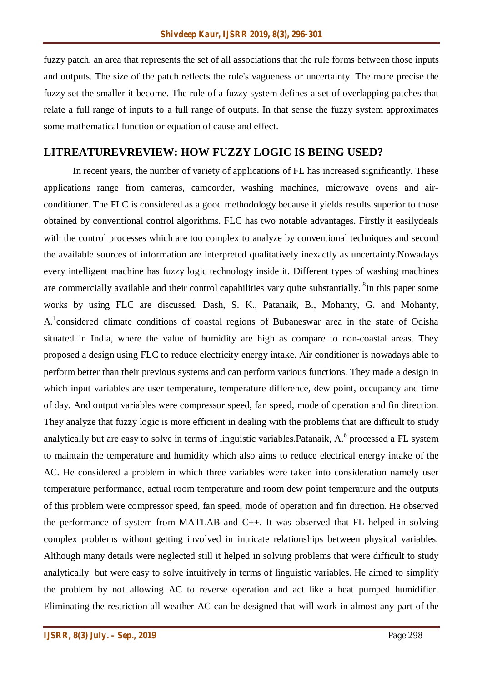fuzzy patch, an area that represents the set of all associations that the rule forms between those inputs and outputs. The size of the patch reflects the rule's vagueness or uncertainty. The more precise the fuzzy set the smaller it become. The rule of a fuzzy system defines a set of overlapping patches that relate a full range of inputs to a full range of outputs. In that sense the fuzzy system approximates some mathematical function or equation of cause and effect.

#### **LITREATUREVREVIEW: HOW FUZZY LOGIC IS BEING USED?**

In recent years, the number of variety of applications of FL has increased significantly. These applications range from cameras, camcorder, washing machines, microwave ovens and airconditioner. The FLC is considered as a good methodology because it yields results superior to those obtained by conventional control algorithms. FLC has two notable advantages. Firstly it easilydeals with the control processes which are too complex to analyze by conventional techniques and second the available sources of information are interpreted qualitatively inexactly as uncertainty.Nowadays every intelligent machine has fuzzy logic technology inside it. Different types of washing machines are commercially available and their control capabilities vary quite substantially. <sup>8</sup>In this paper some works by using FLC are discussed. Dash, S. K., Patanaik, B., Mohanty, G. and Mohanty, A.<sup>1</sup> considered climate conditions of coastal regions of Bubaneswar area in the state of Odisha situated in India, where the value of humidity are high as compare to non-coastal areas. They proposed a design using FLC to reduce electricity energy intake. Air conditioner is nowadays able to perform better than their previous systems and can perform various functions. They made a design in which input variables are user temperature, temperature difference, dew point, occupancy and time of day. And output variables were compressor speed, fan speed, mode of operation and fin direction. They analyze that fuzzy logic is more efficient in dealing with the problems that are difficult to study analytically but are easy to solve in terms of linguistic variables. Patanaik,  $A^6$  processed a FL system to maintain the temperature and humidity which also aims to reduce electrical energy intake of the AC. He considered a problem in which three variables were taken into consideration namely user temperature performance, actual room temperature and room dew point temperature and the outputs of this problem were compressor speed, fan speed, mode of operation and fin direction. He observed the performance of system from MATLAB and C++. It was observed that FL helped in solving complex problems without getting involved in intricate relationships between physical variables. Although many details were neglected still it helped in solving problems that were difficult to study analytically but were easy to solve intuitively in terms of linguistic variables. He aimed to simplify the problem by not allowing AC to reverse operation and act like a heat pumped humidifier. Eliminating the restriction all weather AC can be designed that will work in almost any part of the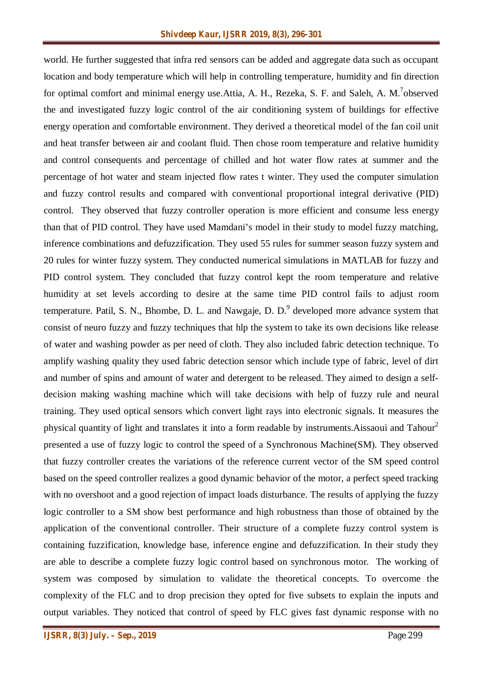world. He further suggested that infra red sensors can be added and aggregate data such as occupant location and body temperature which will help in controlling temperature, humidity and fin direction for optimal comfort and minimal energy use. Attia, A. H., Rezeka, S. F. and Saleh, A. M.<sup>7</sup>observed the and investigated fuzzy logic control of the air conditioning system of buildings for effective energy operation and comfortable environment. They derived a theoretical model of the fan coil unit and heat transfer between air and coolant fluid. Then chose room temperature and relative humidity and control consequents and percentage of chilled and hot water flow rates at summer and the percentage of hot water and steam injected flow rates t winter. They used the computer simulation and fuzzy control results and compared with conventional proportional integral derivative (PID) control. They observed that fuzzy controller operation is more efficient and consume less energy than that of PID control. They have used Mamdani's model in their study to model fuzzy matching, inference combinations and defuzzification. They used 55 rules for summer season fuzzy system and 20 rules for winter fuzzy system. They conducted numerical simulations in MATLAB for fuzzy and PID control system. They concluded that fuzzy control kept the room temperature and relative humidity at set levels according to desire at the same time PID control fails to adjust room temperature. Patil, S. N., Bhombe, D. L. and Nawgaje, D. D. $^9$  developed more advance system that consist of neuro fuzzy and fuzzy techniques that hlp the system to take its own decisions like release of water and washing powder as per need of cloth. They also included fabric detection technique. To amplify washing quality they used fabric detection sensor which include type of fabric, level of dirt and number of spins and amount of water and detergent to be released. They aimed to design a selfdecision making washing machine which will take decisions with help of fuzzy rule and neural training. They used optical sensors which convert light rays into electronic signals. It measures the physical quantity of light and translates it into a form readable by instruments. Aissaoui and  $Tahour<sup>2</sup>$ presented a use of fuzzy logic to control the speed of a Synchronous Machine(SM). They observed that fuzzy controller creates the variations of the reference current vector of the SM speed control based on the speed controller realizes a good dynamic behavior of the motor, a perfect speed tracking with no overshoot and a good rejection of impact loads disturbance. The results of applying the fuzzy logic controller to a SM show best performance and high robustness than those of obtained by the application of the conventional controller. Their structure of a complete fuzzy control system is containing fuzzification, knowledge base, inference engine and defuzzification. In their study they are able to describe a complete fuzzy logic control based on synchronous motor. The working of system was composed by simulation to validate the theoretical concepts. To overcome the complexity of the FLC and to drop precision they opted for five subsets to explain the inputs and output variables. They noticed that control of speed by FLC gives fast dynamic response with no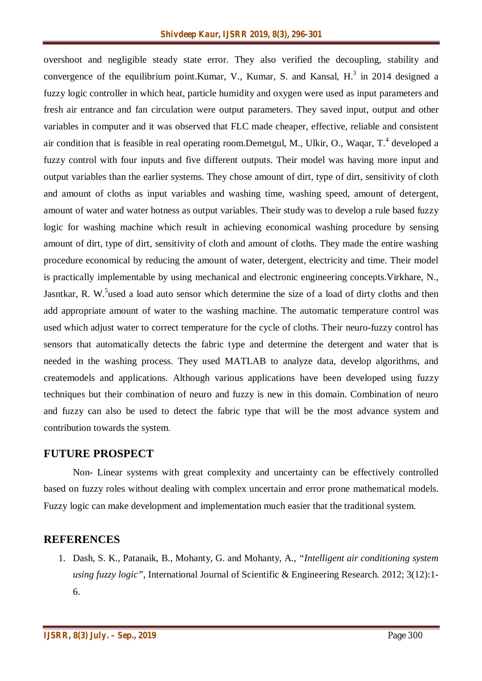overshoot and negligible steady state error. They also verified the decoupling, stability and convergence of the equilibrium point. Kumar, V., Kumar, S. and Kansal,  $H<sup>3</sup>$  in 2014 designed a fuzzy logic controller in which heat, particle humidity and oxygen were used as input parameters and fresh air entrance and fan circulation were output parameters. They saved input, output and other variables in computer and it was observed that FLC made cheaper, effective, reliable and consistent air condition that is feasible in real operating room.Demetgul, M., Ulkir, O., Waqar, T.<sup>4</sup> developed a fuzzy control with four inputs and five different outputs. Their model was having more input and output variables than the earlier systems. They chose amount of dirt, type of dirt, sensitivity of cloth and amount of cloths as input variables and washing time, washing speed, amount of detergent, amount of water and water hotness as output variables. Their study was to develop a rule based fuzzy logic for washing machine which result in achieving economical washing procedure by sensing amount of dirt, type of dirt, sensitivity of cloth and amount of cloths. They made the entire washing procedure economical by reducing the amount of water, detergent, electricity and time. Their model is practically implementable by using mechanical and electronic engineering concepts.Virkhare, N., Jasntkar, R. W.<sup>5</sup>used a load auto sensor which determine the size of a load of dirty cloths and then add appropriate amount of water to the washing machine. The automatic temperature control was used which adjust water to correct temperature for the cycle of cloths. Their neuro-fuzzy control has sensors that automatically detects the fabric type and determine the detergent and water that is needed in the washing process. They used MATLAB to analyze data, develop algorithms, and createmodels and applications. Although various applications have been developed using fuzzy techniques but their combination of neuro and fuzzy is new in this domain. Combination of neuro and fuzzy can also be used to detect the fabric type that will be the most advance system and contribution towards the system.

#### **FUTURE PROSPECT**

Non- Linear systems with great complexity and uncertainty can be effectively controlled based on fuzzy roles without dealing with complex uncertain and error prone mathematical models. Fuzzy logic can make development and implementation much easier that the traditional system.

## **REFERENCES**

1. Dash, S. K., Patanaik, B., Mohanty, G. and Mohanty, A., *"Intelligent air conditioning system using fuzzy logic"*, International Journal of Scientific & Engineering Research. 2012; 3(12):1- 6.